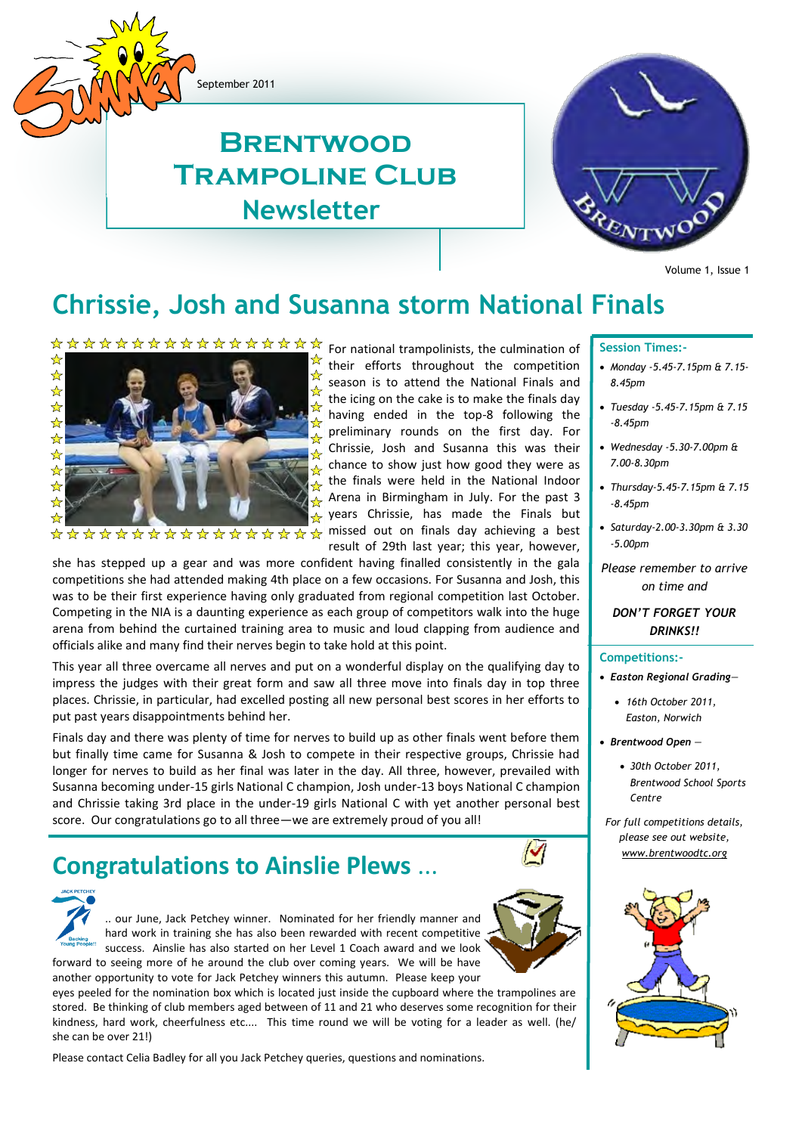September 2011

### **Newsletter Brentwood Trampoline Club**



Volume 1, Issue 1

#### **Chrissie, Josh and Susanna storm National Finals**



the icing on the cake is to make the finals day ☆ having ended in the top-8 following the preliminary rounds on the first day. For  $\frac{1}{2}$ Chrissie, Josh and Susanna this was their ଧ chance to show just how good they were as ☆ the finals were held in the National Indoor Arena in Birmingham in July. For the past 3  $\rightarrow$  years Chrissie, has made the Finals but ☆☆☆☆☆☆☆☆☆☆☆☆☆☆☆☆☆ missed out on finals day achieving a best result of 29th last year; this year, however,

their efforts throughout the competition season is to attend the National Finals and

she has stepped up a gear and was more confident having finalled consistently in the gala competitions she had attended making 4th place on a few occasions. For Susanna and Josh, this was to be their first experience having only graduated from regional competition last October. Competing in the NIA is a daunting experience as each group of competitors walk into the huge arena from behind the curtained training area to music and loud clapping from audience and officials alike and many find their nerves begin to take hold at this point.

This year all three overcame all nerves and put on a wonderful display on the qualifying day to impress the judges with their great form and saw all three move into finals day in top three places. Chrissie, in particular, had excelled posting all new personal best scores in her efforts to put past years disappointments behind her.

Finals day and there was plenty of time for nerves to build up as other finals went before them but finally time came for Susanna & Josh to compete in their respective groups, Chrissie had longer for nerves to build as her final was later in the day. All three, however, prevailed with Susanna becoming under-15 girls National C champion, Josh under-13 boys National C champion and Chrissie taking 3rd place in the under-19 girls National C with yet another personal best score. Our congratulations go to all three—we are extremely proud of you all!

#### **[Congratulations to Ainslie Plews](http://brentwoodtc.blogspot.com/2011/06/congratulations-to-ainslie-plews.html)** ...



forward to seeing more of he around the club over coming years. We will be have another opportunity to vote for Jack Petchey winners this autumn. Please keep your

eyes peeled for the nomination box which is located just inside the cupboard where the trampolines are stored. Be thinking of club members aged between of 11 and 21 who deserves some recognition for their kindness, hard work, cheerfulness etc.... This time round we will be voting for a leader as well. (he/ she can be over 21!)

Please contact Celia Badley for all you Jack Petchey queries, questions and nominations.

#### **Session Times:-**

- *Monday -5.45-7.15pm & 7.15- 8.45pm*
- *Tuesday -5.45-7.15pm & 7.15 -8.45pm*
- *Wednesday -5.30-7.00pm & 7.00-8.30pm*
- *Thursday-5.45-7.15pm & 7.15 -8.45pm*
- *Saturday-2.00-3.30pm & 3.30 -5.00pm*
- *Please remember to arrive on time and*

#### *DON'T FORGET YOUR DRINKS!!*

#### **Competitions:-**

- *Easton Regional Grading—*
	- *16th October 2011, Easton, Norwich*
- *Brentwood Open —*
	- *30th October 2011, Brentwood School Sports Centre*
- *For full competitions details, please see out website, www.brentwoodtc.org*

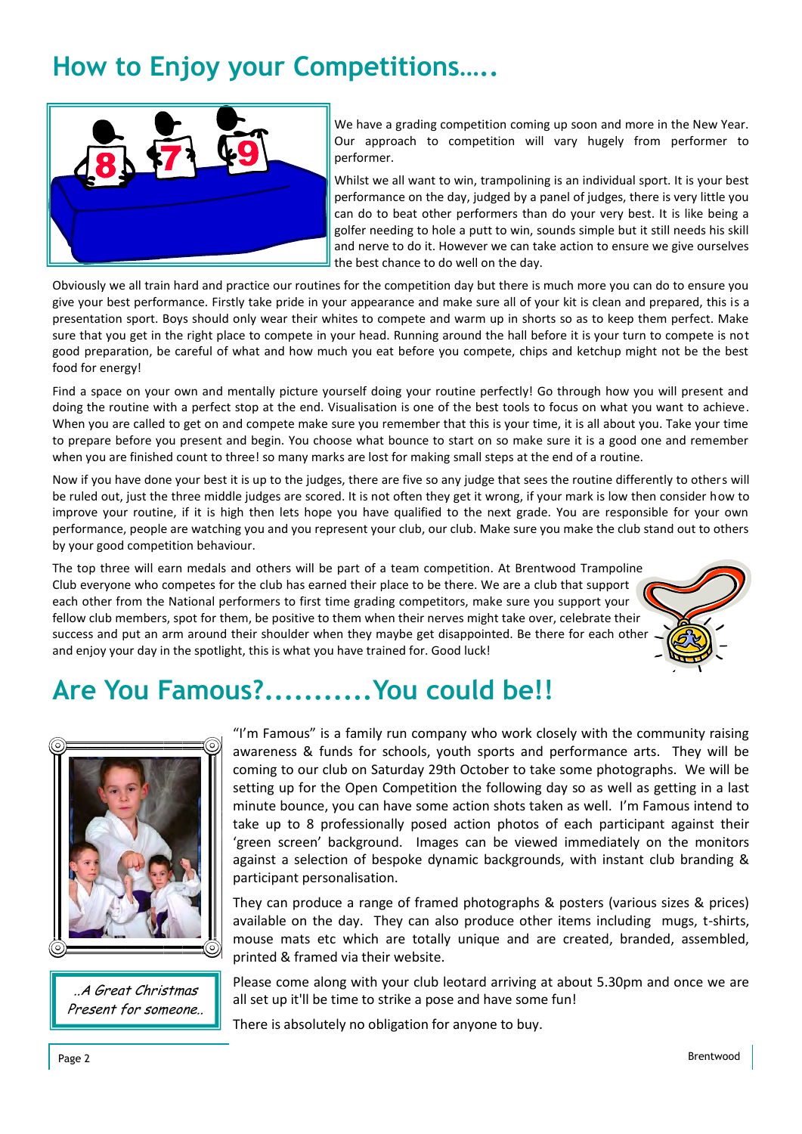### **How to Enjoy your Competitions…..**



We have a grading competition coming up soon and more in the New Year. Our approach to competition will vary hugely from performer to performer.

Whilst we all want to win, trampolining is an individual sport. It is your best performance on the day, judged by a panel of judges, there is very little you can do to beat other performers than do your very best. It is like being a golfer needing to hole a putt to win, sounds simple but it still needs his skill and nerve to do it. However we can take action to ensure we give ourselves the best chance to do well on the day.

Obviously we all train hard and practice our routines for the competition day but there is much more you can do to ensure you give your best performance. Firstly take pride in your appearance and make sure all of your kit is clean and prepared, this is a presentation sport. Boys should only wear their whites to compete and warm up in shorts so as to keep them perfect. Make sure that you get in the right place to compete in your head. Running around the hall before it is your turn to compete is not good preparation, be careful of what and how much you eat before you compete, chips and ketchup might not be the best food for energy!

Find a space on your own and mentally picture yourself doing your routine perfectly! Go through how you will present and doing the routine with a perfect stop at the end. Visualisation is one of the best tools to focus on what you want to achieve. When you are called to get on and compete make sure you remember that this is your time, it is all about you. Take your time to prepare before you present and begin. You choose what bounce to start on so make sure it is a good one and remember when you are finished count to three! so many marks are lost for making small steps at the end of a routine.

Now if you have done your best it is up to the judges, there are five so any judge that sees the routine differently to others will be ruled out, just the three middle judges are scored. It is not often they get it wrong, if your mark is low then consider how to improve your routine, if it is high then lets hope you have qualified to the next grade. You are responsible for your own performance, people are watching you and you represent your club, our club. Make sure you make the club stand out to others by your good competition behaviour.

The top three will earn medals and others will be part of a team competition. At Brentwood Trampoline Club everyone who competes for the club has earned their place to be there. We are a club that support each other from the National performers to first time grading competitors, make sure you support your fellow club members, spot for them, be positive to them when their nerves might take over, celebrate their success and put an arm around their shoulder when they maybe get disappointed. Be there for each other and enjoy your day in the spotlight, this is what you have trained for. Good luck!



### **Are You Famous?...........You could be!!**



..A Great Christmas Present for someone..

"I'm Famous" is a family run company who work closely with the community raising awareness & funds for schools, youth sports and performance arts. They will be coming to our club on Saturday 29th October to take some photographs. We will be setting up for the Open Competition the following day so as well as getting in a last minute bounce, you can have some action shots taken as well. I'm Famous intend to take up to 8 professionally posed action photos of each participant against their 'green screen' background. Images can be viewed immediately on the monitors against a selection of bespoke dynamic backgrounds, with instant club branding & participant personalisation.

They can produce a range of framed photographs & posters (various sizes & prices) available on the day. They can also produce other items including mugs, t-shirts, mouse mats etc which are totally unique and are created, branded, assembled, printed & framed via their website.

Please come along with your club leotard arriving at about 5.30pm and once we are all set up it'll be time to strike a pose and have some fun!

There is absolutely no obligation for anyone to buy.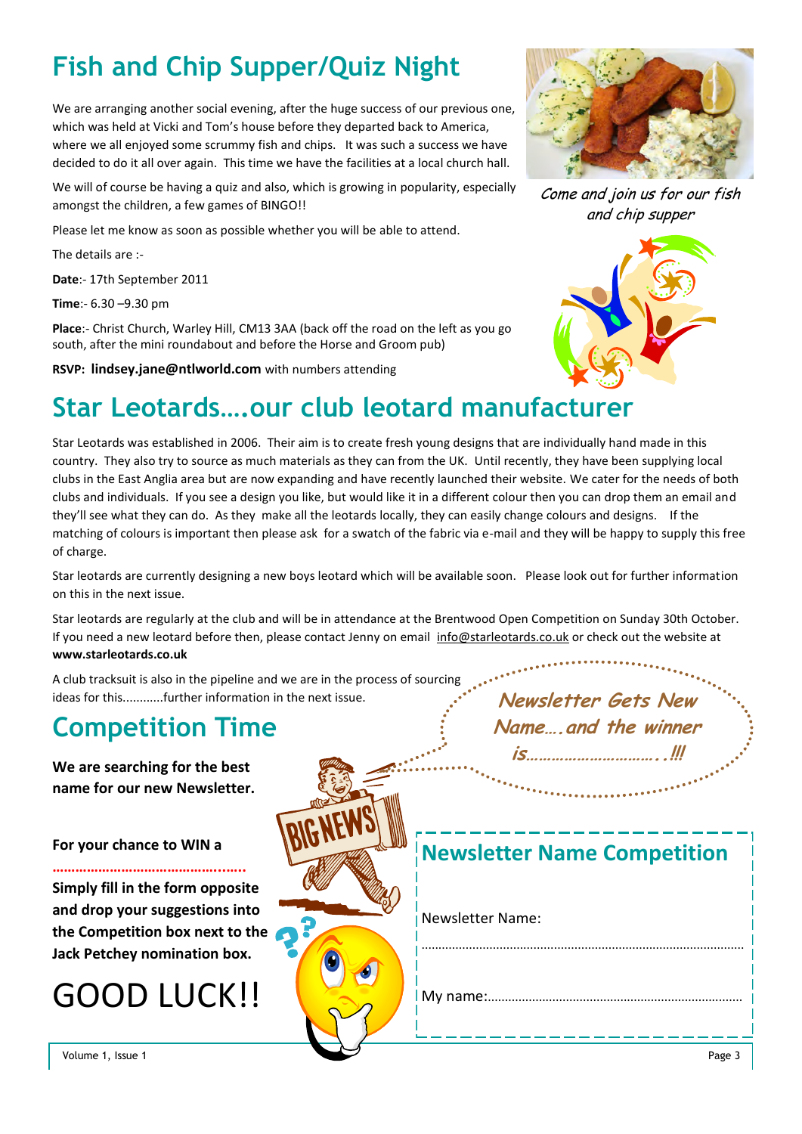## **Fish and Chip Supper/Quiz Night**

We are arranging another social evening, after the huge success of our previous one, which was held at Vicki and Tom's house before they departed back to America, where we all enjoyed some scrummy fish and chips. It was such a success we have decided to do it all over again. This time we have the facilities at a local church hall.

We will of course be having a quiz and also, which is growing in popularity, especially amongst the children, a few games of BINGO!!

Please let me know as soon as possible whether you will be able to attend.

The details are :-

**Date**:- 17th September 2011

**Time**:- 6.30 –9.30 pm

**Place**:- Christ Church, Warley Hill, CM13 3AA (back off the road on the left as you go south, after the mini roundabout and before the Horse and Groom pub)

**RSVP: lindsey.jane@ntlworld.com** with numbers attending



Come and join us for our fish and chip supper



### **Star Leotards….our club leotard manufacturer**

Star Leotards was established in 2006. Their aim is to create fresh young designs that are individually hand made in this country. They also try to source as much materials as they can from the UK. Until recently, they have been supplying local clubs in the East Anglia area but are now expanding and have recently launched their website. We cater for the needs of both clubs and individuals. If you see a design you like, but would like it in a different colour then you can drop them an email and they'll see what they can do. As they make all the leotards locally, they can easily change colours and designs. If the matching of colours is important then please ask for a swatch of the fabric via e-mail and they will be happy to supply this free of charge.

Star leotards are currently designing a new boys leotard which will be available soon. Please look out for further information on this in the next issue.

Star leotards are regularly at the club and will be in attendance at the Brentwood Open Competition on Sunday 30th October. If you need a new leotard before then, please contact Jenny on email [info@starleotards.co.uk o](mailto:info@starleotards.co.uk)r check out the website at **[www.starleotards.co.uk](http://www.starleotards.co.uk/)**

A club tracksuit is also in the pipeline and we are in the process of sourcing ideas for this............further information in the next issue. **New Sexter Gets New**  New **New in the window** 

### **Competition Time**

**We are searching for the best name for our new Newsletter.** 

#### **For your chance to WIN a**

# GOOD LUCK!!

| or your chance to WIN a                                                                            | Newsletter Name Competition |
|----------------------------------------------------------------------------------------------------|-----------------------------|
| imply fill in the form opposite<br>nd drop your suggestions into<br>he Competition box next to the | <b>Newsletter Name:</b>     |
| ack Petchey nomination box.<br><b>GOOD LUCK!!</b>                                                  |                             |
| Volume 1, Issue 1                                                                                  | Page 3                      |

**Name….and the winner** 

**is…………………………..!!!**